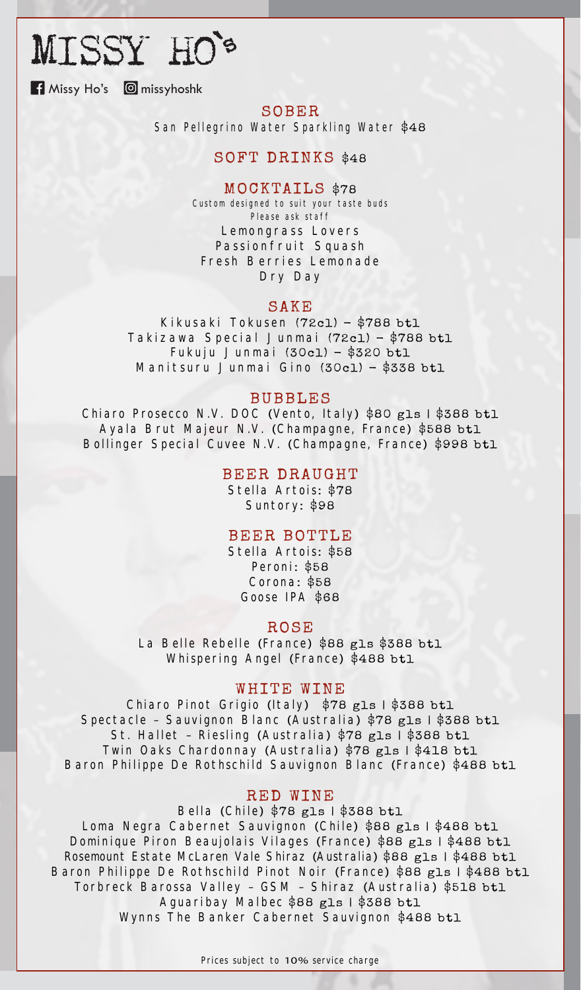# MISSY HO's

**H** Missy Ho's **C** missyhoshk

## SOBER

San Pellegrino Water Sparkling Water \$48

# SOFT DRINKS \$48

#### MOCKTAILS \$78

Custom designed to suit your taste buds Please ask staff Lemongrass Lovers Passionfruit Squash Fresh Berries Lemonade Dry Day

#### SAKE

Kikusaki Tokusen (72cl) - \$788 btl Takizawa Special Junmai (72cl) - \$788 btl Fukuju Junmai  $(30c1)$  - \$320 btl Manitsuru Junmai Gino (30cl) - \$338 btl

### BUBBLES

Chiaro Prosecco N.V. DOC (Vento, Italy) \$80 gls | \$388 btl Ayala Brut Majeur N.V. (Champagne, France) \$588 btl Bollinger Special Cuvee N.V. (Champagne, France) \$998 btl

#### BEER DRAUGHT

Stella Artois: \$78 Suntory: \$98

### BEER BOTTLE

Stella Artois: \$58 Peroni: \$58 Corona: \$58 Goose IPA \$68

#### ROSE

La Belle Rebelle (France) \$88 gls \$388 btl Whispering Angel (France) \$488 btl

### WHITE WINE

Chiaro Pinot Grigio (Italy) \$78 gls | \$388 btl Spectacle - Sauvignon Blanc (Australia) \$78 gls | \$388 btl St. Hallet - Riesling (Australia) \$78 gls | \$388 btl Twin Oaks Chardonnay (Australia) \$78 gls | \$418 btl Baron Philippe De Rothschild Sauvignon Blanc (France) \$488 btl

#### RED WINE

Bella (Chile) \$78 gls | \$388 btl Loma Negra Cabernet Sauvignon (Chile) \$88 gls | \$488 btl

Dominique Piron Beaujolais Vilages (France) \$88 gls | \$488 btl Rosemount Estate McLaren Vale Shiraz (Australia) \$88 gls | \$488 btl Baron Philippe De Rothschild Pinot Noir (France) \$88 gls | \$488 btl Torbreck Barossa Valley - GSM - Shiraz (Australia) \$518 btl Aguaribay Malbec \$88 gls | \$388 btl

Wynns The Banker Cabernet Sauvignon \$488 btl